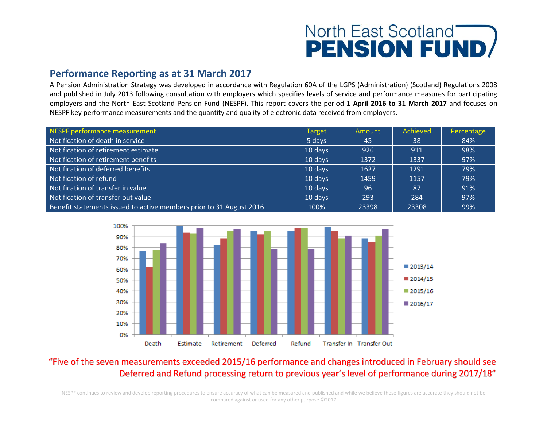# North East Scotland **PENSION FUND**

#### **Performance Reporting as at 31 March 2017**

A Pension Administration Strategy was developed in accordance with Regulation 60A of the LGPS (Administration) (Scotland) Regulations 2008 and published in July 2013 following consultation with employers which specifies levels of service and performance measures for participating employers and the North East Scotland Pension Fund (NESPF). This report covers the period **1 April 2016 to 31 March 2017** and focuses on NESPF key performance measurements and the quantity and quality of electronic data received from employers.

| NESPF performance measurement                                       | Target  | Amount | Achieved | Percentage |
|---------------------------------------------------------------------|---------|--------|----------|------------|
| Notification of death in service                                    | 5 days  | 45     | 38       | 84%        |
| Notification of retirement estimate                                 | 10 days | 926    | 911      | 98%        |
| Notification of retirement benefits                                 | 10 days | 1372   | 1337     | 97%        |
| Notification of deferred benefits                                   | 10 days | 1627   | 1291     | 79%        |
| Notification of refund                                              | 10 days | 1459   | 1157     | 79%        |
| Notification of transfer in value                                   | 10 days | 96     | 87       | 91%        |
| Notification of transfer out value                                  | 10 days | 293    | 284      | 97%        |
| Benefit statements issued to active members prior to 31 August 2016 | 100%    | 23398  | 23308    | 99%        |



### "Five of the seven measurements exceeded 2015/16 performance and changes introduced in February should see Deferred and Refund processing return to previous year's level of performance during 2017/18"

NESPF continues to review and develop reporting procedures to ensure accuracy of what can be measured and published and while we believe these figures are accurate they should not be compared against or used for any other purpose ©2017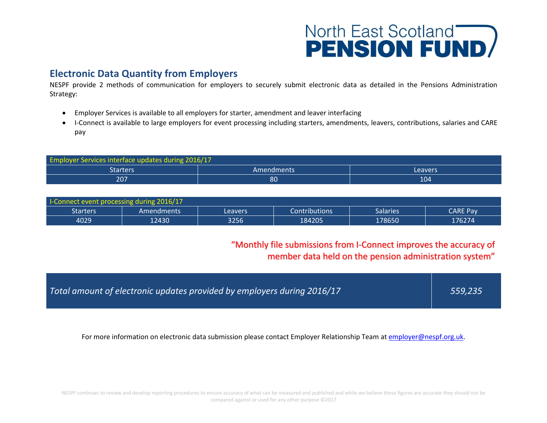# **North East Scotland<br>PENSION FUND**

# **Electronic Data Quantity from Employers**

NESPF provide 2 methods of communication for employers to securely submit electronic data as detailed in the Pensions Administration Strategy:

- Employer Services is available to all employers for starter, amendment and leaver interfacing
- I-Connect is available to large employers for event processing including starters, amendments, leavers, contributions, salaries and CARE pay

| <b>Employer Services interface updates during 2016/17</b> |            |         |  |  |  |  |  |
|-----------------------------------------------------------|------------|---------|--|--|--|--|--|
| Starters                                                  | Amendments | Leavers |  |  |  |  |  |
| 207                                                       | 80         | 104     |  |  |  |  |  |

| <b>I-Connect event processing during 2016/17</b> |             |         |                      |                 |                 |  |  |  |
|--------------------------------------------------|-------------|---------|----------------------|-----------------|-----------------|--|--|--|
| <b>Starters</b>                                  | 'Amendments | Leavers | <b>Contributions</b> | <b>Salaries</b> | <b>CARE Pay</b> |  |  |  |
| 4029                                             | 12430       | 3256    | 184205               | 178650          | 176274'         |  |  |  |

### "Monthly file submissions from I-Connect improves the accuracy of member data held on the pension administration system"

| Total amount of electronic updates provided by employers during 2016/17 | 559,235 |
|-------------------------------------------------------------------------|---------|
|                                                                         |         |

For more information on electronic data submission please contact Employer Relationship Team a[t employer@nespf.org.uk.](mailto:employer@nespf.org.uk)